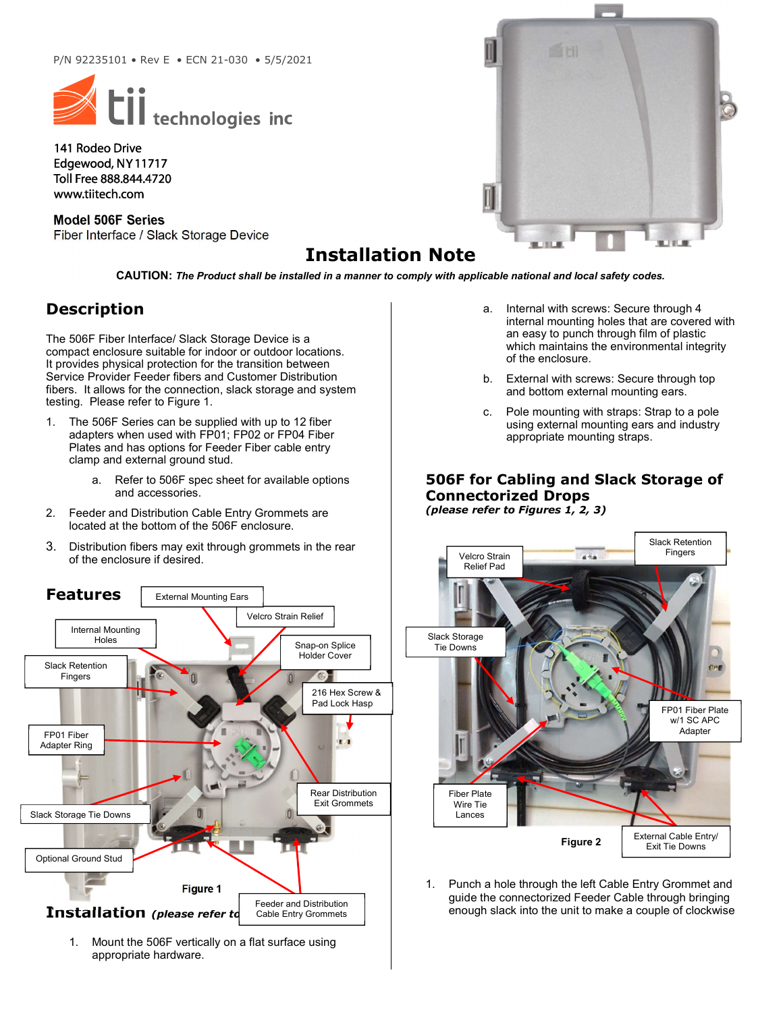

141 Rodeo Drive Edgewood, NY 11717 Toll Free 888.844.4720 www.tiitech.com

Model 506F Series Fiber Interface / Slack Storage Device

# Installation Note

CAUTION: The Product shall be installed in a manner to comply with applicable national and local safety codes.

### Description

The 506F Fiber Interface/ Slack Storage Device is a compact enclosure suitable for indoor or outdoor locations. It provides physical protection for the transition between Service Provider Feeder fibers and Customer Distribution fibers. It allows for the connection, slack storage and system testing. Please refer to Figure 1.

- 1. The 506F Series can be supplied with up to 12 fiber adapters when used with FP01; FP02 or FP04 Fiber Plates and has options for Feeder Fiber cable entry clamp and external ground stud.
	- a. Refer to 506F spec sheet for available options and accessories.
- 2. Feeder and Distribution Cable Entry Grommets are located at the bottom of the 506F enclosure.
- 3. Distribution fibers may exit through grommets in the rear of the enclosure if desired.



1. Mount the 506F vertically on a flat surface using appropriate hardware.

- a. Internal with screws: Secure through 4 internal mounting holes that are covered with an easy to punch through film of plastic which maintains the environmental integrity of the enclosure.
- b. External with screws: Secure through top and bottom external mounting ears.
- c. Pole mounting with straps: Strap to a pole using external mounting ears and industry appropriate mounting straps.

#### 506F for Cabling and Slack Storage of Connectorized Drops (please refer to Figures 1, 2, 3)



1. Punch a hole through the left Cable Entry Grommet and guide the connectorized Feeder Cable through bringing enough slack into the unit to make a couple of clockwise